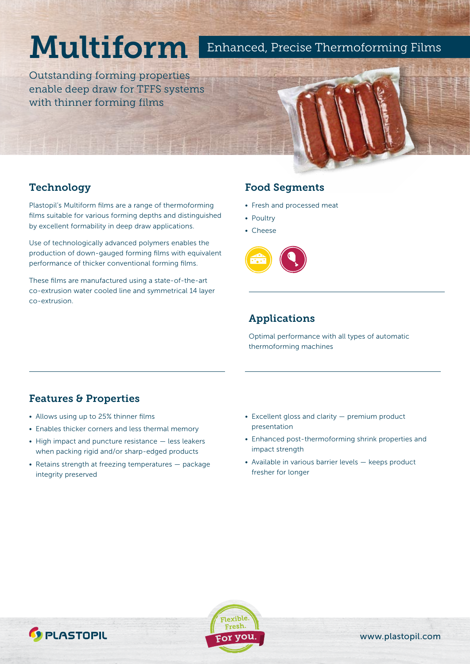# Multiform

Enhanced, Precise Thermoforming Films

Outstanding forming properties enable deep draw for TFFS systems with thinner forming films

### **Technology**

Plastopil's Multiform films are a range of thermoforming films suitable for various forming depths and distinguished by excellent formability in deep draw applications.

Use of technologically advanced polymers enables the production of down-gauged forming films with equivalent performance of thicker conventional forming films.

These films are manufactured using a state-of-the-art co-extrusion water cooled line and symmetrical 14 layer co-extrusion.

#### Food Segments

- Fresh and processed meat
- Poultry
- Cheese



#### Applications

Optimal performance with all types of automatic thermoforming machines

#### Features & Properties

- Allows using up to 25% thinner films
- Enables thicker corners and less thermal memory
- High impact and puncture resistance less leakers when packing rigid and/or sharp-edged products
- Retains strength at freezing temperatures package integrity preserved
- Excellent gloss and clarity premium product presentation
- Enhanced post-thermoforming shrink properties and impact strength
- Available in various barrier levels keeps product fresher for longer